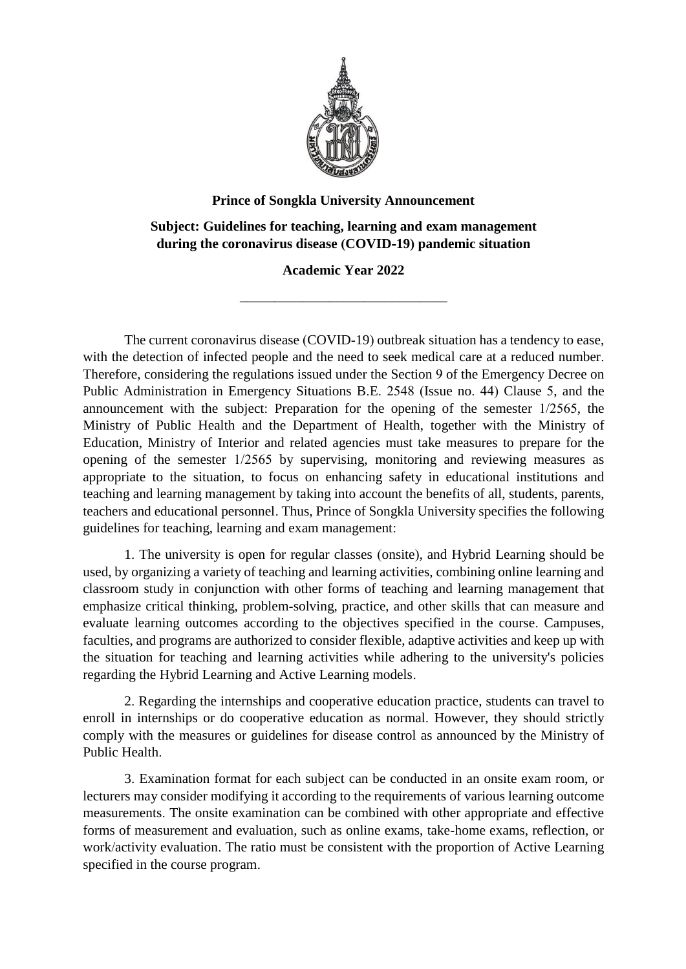

## **Prince of Songkla University Announcement**

**Subject: Guidelines for teaching, learning and exam management during the coronavirus disease (COVID-19) pandemic situation**

## **Academic Year 2022**

\_\_\_\_\_\_\_\_\_\_\_\_\_\_\_\_\_\_\_\_\_\_\_\_\_\_\_\_\_\_

The current coronavirus disease (COVID-19) outbreak situation has a tendency to ease, with the detection of infected people and the need to seek medical care at a reduced number. Therefore, considering the regulations issued under the Section 9 of the Emergency Decree on Public Administration in Emergency Situations B.E. 2548 (Issue no. 44) Clause 5, and the announcement with the subject: Preparation for the opening of the semester 1/2565, the Ministry of Public Health and the Department of Health, together with the Ministry of Education, Ministry of Interior and related agencies must take measures to prepare for the opening of the semester 1/2565 by supervising, monitoring and reviewing measures as appropriate to the situation, to focus on enhancing safety in educational institutions and teaching and learning management by taking into account the benefits of all, students, parents, teachers and educational personnel. Thus, Prince of Songkla University specifies the following guidelines for teaching, learning and exam management:

1. The university is open for regular classes (onsite), and Hybrid Learning should be used, by organizing a variety of teaching and learning activities, combining online learning and classroom study in conjunction with other forms of teaching and learning management that emphasize critical thinking, problem-solving, practice, and other skills that can measure and evaluate learning outcomes according to the objectives specified in the course. Campuses, faculties, and programs are authorized to consider flexible, adaptive activities and keep up with the situation for teaching and learning activities while adhering to the university's policies regarding the Hybrid Learning and Active Learning models.

2. Regarding the internships and cooperative education practice, students can travel to enroll in internships or do cooperative education as normal. However, they should strictly comply with the measures or guidelines for disease control as announced by the Ministry of Public Health.

3. Examination format for each subject can be conducted in an onsite exam room, or lecturers may consider modifying it according to the requirements of various learning outcome measurements. The onsite examination can be combined with other appropriate and effective forms of measurement and evaluation, such as online exams, take-home exams, reflection, or work/activity evaluation. The ratio must be consistent with the proportion of Active Learning specified in the course program.